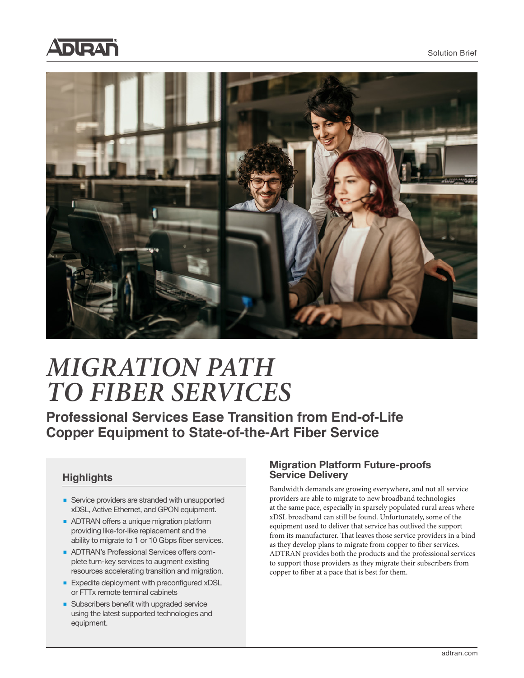



# *MIGRATION PATH TO FIBER SERVICES*

**Professional Services Ease Transition from End-of-Life Copper Equipment to State-of-the-Art Fiber Service**

#### **Highlights**

- Service providers are stranded with unsupported xDSL, Active Ethernet, and GPON equipment.
- ADTRAN offers a unique migration platform providing like-for-like replacement and the ability to migrate to 1 or 10 Gbps fiber services.
- ADTRAN's Professional Services offers complete turn-key services to augment existing resources accelerating transition and migration.
- Expedite deployment with preconfigured xDSL or FTTx remote terminal cabinets
- Subscribers benefit with upgraded service using the latest supported technologies and equipment.

#### **Migration Platform Future-proofs Service Delivery**

Bandwidth demands are growing everywhere, and not all service providers are able to migrate to new broadband technologies at the same pace, especially in sparsely populated rural areas where xDSL broadband can still be found. Unfortunately, some of the equipment used to deliver that service has outlived the support from its manufacturer. That leaves those service providers in a bind as they develop plans to migrate from copper to fiber services. ADTRAN provides both the products and the professional services to support those providers as they migrate their subscribers from copper to fiber at a pace that is best for them.